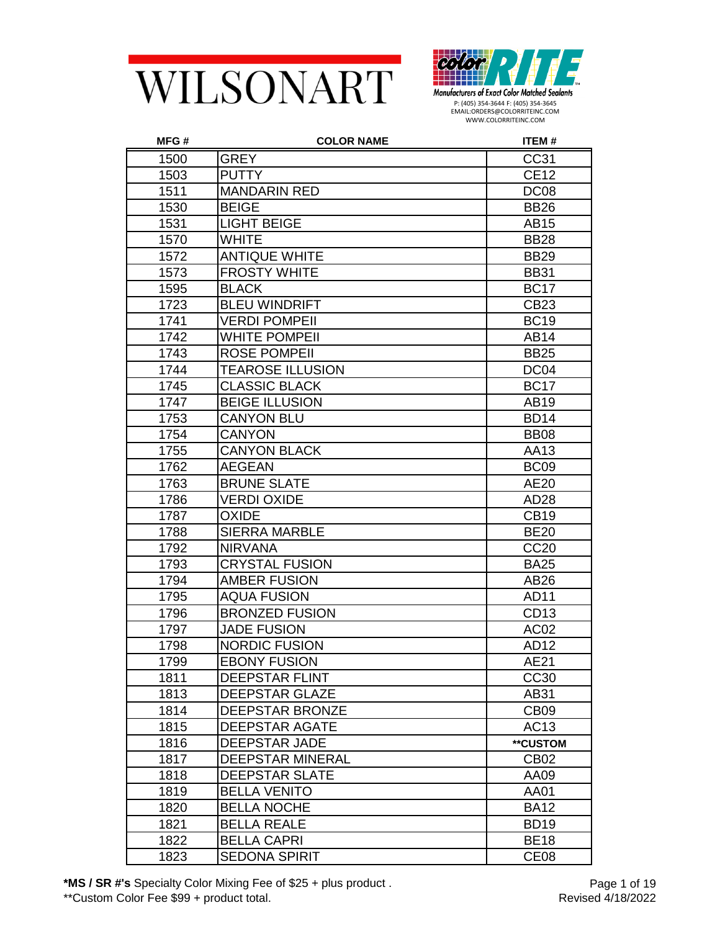



| MFG# | <b>COLOR NAME</b>       | <b>ITEM#</b>     |
|------|-------------------------|------------------|
| 1500 | <b>GREY</b>             | CC31             |
| 1503 | <b>PUTTY</b>            | <b>CE12</b>      |
| 1511 | <b>MANDARIN RED</b>     | DC <sub>08</sub> |
| 1530 | <b>BEIGE</b>            | <b>BB26</b>      |
| 1531 | <b>LIGHT BEIGE</b>      | AB15             |
| 1570 | <b>WHITE</b>            | <b>BB28</b>      |
| 1572 | <b>ANTIQUE WHITE</b>    | <b>BB29</b>      |
| 1573 | <b>FROSTY WHITE</b>     | <b>BB31</b>      |
| 1595 | <b>BLACK</b>            | <b>BC17</b>      |
| 1723 | <b>BLEU WINDRIFT</b>    | <b>CB23</b>      |
| 1741 | <b>VERDI POMPEII</b>    | <b>BC19</b>      |
| 1742 | <b>WHITE POMPEII</b>    | AB14             |
| 1743 | <b>ROSE POMPEII</b>     | <b>BB25</b>      |
| 1744 | <b>TEAROSE ILLUSION</b> | DC <sub>04</sub> |
| 1745 | <b>CLASSIC BLACK</b>    | <b>BC17</b>      |
| 1747 | <b>BEIGE ILLUSION</b>   | AB19             |
| 1753 | <b>CANYON BLU</b>       | <b>BD14</b>      |
| 1754 | <b>CANYON</b>           | <b>BB08</b>      |
| 1755 | <b>CANYON BLACK</b>     | AA13             |
| 1762 | <b>AEGEAN</b>           | BC <sub>09</sub> |
| 1763 | <b>BRUNE SLATE</b>      | AE20             |
| 1786 | <b>VERDI OXIDE</b>      | AD28             |
| 1787 | <b>OXIDE</b>            | <b>CB19</b>      |
| 1788 | <b>SIERRA MARBLE</b>    | <b>BE20</b>      |
| 1792 | <b>NIRVANA</b>          | <b>CC20</b>      |
| 1793 | <b>CRYSTAL FUSION</b>   | <b>BA25</b>      |
| 1794 | <b>AMBER FUSION</b>     | AB26             |
| 1795 | <b>AQUA FUSION</b>      | AD11             |
| 1796 | <b>BRONZED FUSION</b>   | CD <sub>13</sub> |
| 1797 | <b>JADE FUSION</b>      | AC <sub>02</sub> |
| 1798 | <b>NORDIC FUSION</b>    | <b>AD12</b>      |
| 1799 | <b>EBONY FUSION</b>     | AE21             |
| 1811 | <b>DEEPSTAR FLINT</b>   | <b>CC30</b>      |
| 1813 | <b>DEEPSTAR GLAZE</b>   | AB31             |
| 1814 | <b>DEEPSTAR BRONZE</b>  | CB <sub>09</sub> |
| 1815 | <b>DEEPSTAR AGATE</b>   | AC13             |
| 1816 | <b>DEEPSTAR JADE</b>    | **CUSTOM         |
| 1817 | <b>DEEPSTAR MINERAL</b> | CB <sub>02</sub> |
| 1818 | <b>DEEPSTAR SLATE</b>   | AA09             |
| 1819 | <b>BELLA VENITO</b>     | AA01             |
| 1820 | <b>BELLA NOCHE</b>      | <b>BA12</b>      |
| 1821 | <b>BELLA REALE</b>      | <b>BD19</b>      |
| 1822 | <b>BELLA CAPRI</b>      | <b>BE18</b>      |
| 1823 | <b>SEDONA SPIRIT</b>    | CE <sub>08</sub> |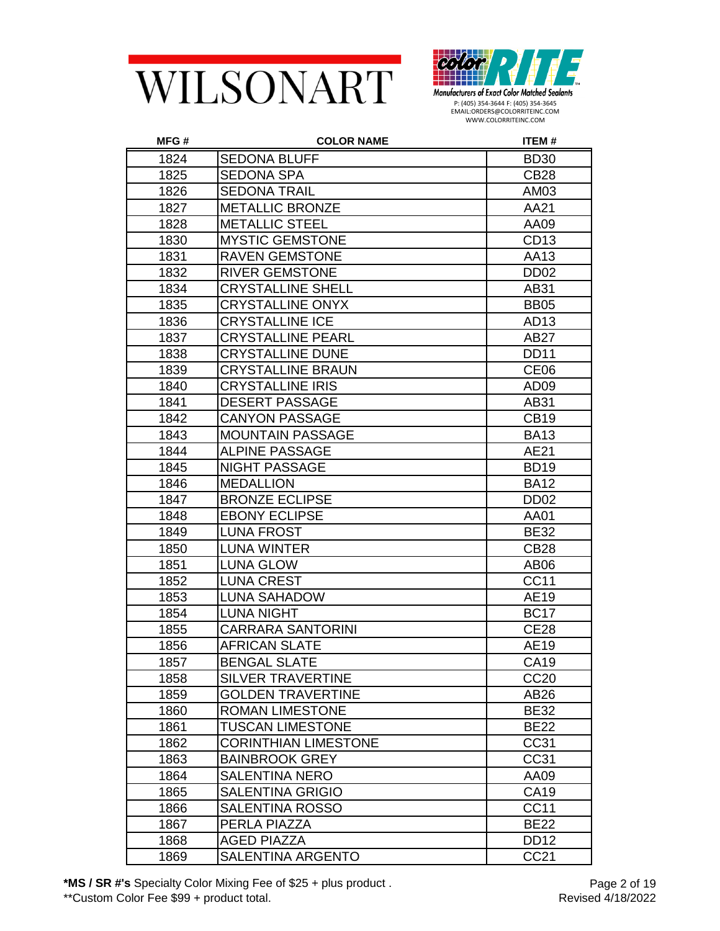



| MFG# | <b>COLOR NAME</b>           | ITEM#            |
|------|-----------------------------|------------------|
| 1824 | <b>SEDONA BLUFF</b>         | <b>BD30</b>      |
| 1825 | <b>SEDONA SPA</b>           | <b>CB28</b>      |
| 1826 | <b>SEDONA TRAIL</b>         | AM03             |
| 1827 | <b>METALLIC BRONZE</b>      | AA21             |
| 1828 | <b>METALLIC STEEL</b>       | AA09             |
| 1830 | <b>MYSTIC GEMSTONE</b>      | CD <sub>13</sub> |
| 1831 | <b>RAVEN GEMSTONE</b>       | AA13             |
| 1832 | <b>RIVER GEMSTONE</b>       | DD <sub>02</sub> |
| 1834 | <b>CRYSTALLINE SHELL</b>    | AB31             |
| 1835 | <b>CRYSTALLINE ONYX</b>     | <b>BB05</b>      |
| 1836 | <b>CRYSTALLINE ICE</b>      | AD <sub>13</sub> |
| 1837 | <b>CRYSTALLINE PEARL</b>    | <b>AB27</b>      |
| 1838 | <b>CRYSTALLINE DUNE</b>     | <b>DD11</b>      |
| 1839 | <b>CRYSTALLINE BRAUN</b>    | CE <sub>06</sub> |
| 1840 | <b>CRYSTALLINE IRIS</b>     | AD <sub>09</sub> |
| 1841 | <b>DESERT PASSAGE</b>       | AB31             |
| 1842 | <b>CANYON PASSAGE</b>       | <b>CB19</b>      |
| 1843 | <b>MOUNTAIN PASSAGE</b>     | <b>BA13</b>      |
| 1844 | <b>ALPINE PASSAGE</b>       | AE21             |
| 1845 | <b>NIGHT PASSAGE</b>        | <b>BD19</b>      |
| 1846 | <b>MEDALLION</b>            | <b>BA12</b>      |
| 1847 | <b>BRONZE ECLIPSE</b>       | DD <sub>02</sub> |
| 1848 | <b>EBONY ECLIPSE</b>        | AA01             |
| 1849 | <b>LUNA FROST</b>           | <b>BE32</b>      |
| 1850 | <b>LUNA WINTER</b>          | <b>CB28</b>      |
| 1851 | <b>LUNA GLOW</b>            | AB <sub>06</sub> |
| 1852 | <b>LUNA CREST</b>           | CC11             |
| 1853 | <b>LUNA SAHADOW</b>         | AE19             |
| 1854 | <b>LUNA NIGHT</b>           | <b>BC17</b>      |
| 1855 | <b>CARRARA SANTORINI</b>    | <b>CE28</b>      |
| 1856 | <b>AFRICAN SLATE</b>        | AE19             |
| 1857 | <b>BENGAL SLATE</b>         | CA19             |
| 1858 | <b>SILVER TRAVERTINE</b>    | <b>CC20</b>      |
| 1859 | <b>GOLDEN TRAVERTINE</b>    | AB26             |
| 1860 | <b>ROMAN LIMESTONE</b>      | <b>BE32</b>      |
| 1861 | <b>TUSCAN LIMESTONE</b>     | <b>BE22</b>      |
| 1862 | <b>CORINTHIAN LIMESTONE</b> | CC31             |
| 1863 | <b>BAINBROOK GREY</b>       | CC31             |
| 1864 | <b>SALENTINA NERO</b>       | AA09             |
| 1865 | <b>SALENTINA GRIGIO</b>     | <b>CA19</b>      |
| 1866 | <b>SALENTINA ROSSO</b>      | <b>CC11</b>      |
| 1867 | PERLA PIAZZA                | <b>BE22</b>      |
| 1868 | <b>AGED PIAZZA</b>          | <b>DD12</b>      |
| 1869 | SALENTINA ARGENTO           | <b>CC21</b>      |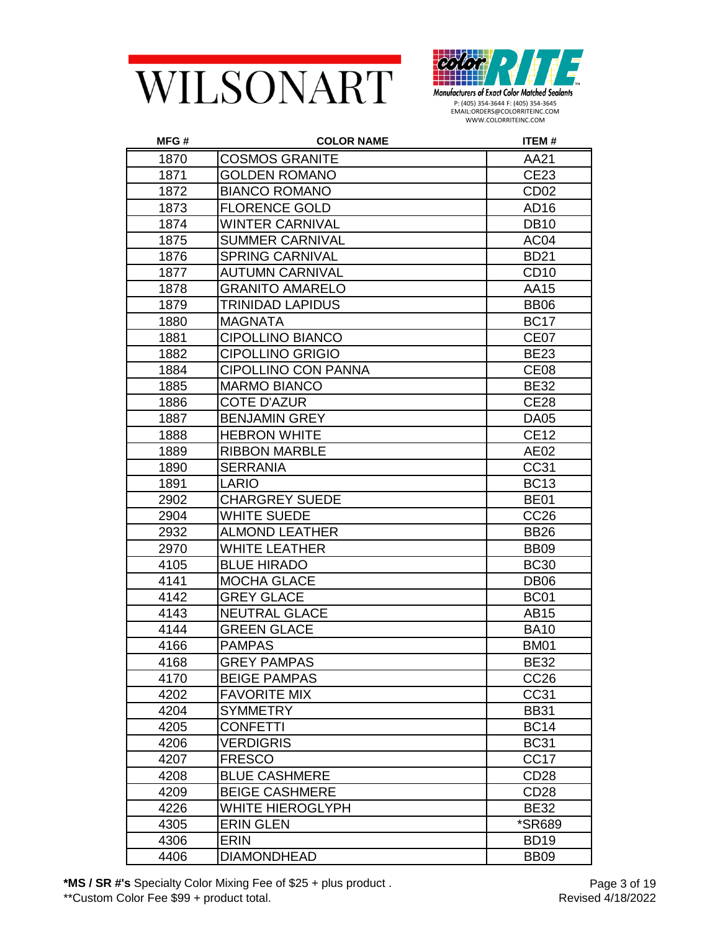



| MFG# | <b>COLOR NAME</b>          | ITEM#                |
|------|----------------------------|----------------------|
| 1870 | <b>COSMOS GRANITE</b>      | AA21                 |
| 1871 | <b>GOLDEN ROMANO</b>       | <b>CE23</b>          |
| 1872 | <b>BIANCO ROMANO</b>       | CD <sub>02</sub>     |
| 1873 | <b>FLORENCE GOLD</b>       | AD <sub>16</sub>     |
| 1874 | <b>WINTER CARNIVAL</b>     | <b>DB10</b>          |
| 1875 | <b>SUMMER CARNIVAL</b>     | AC <sub>04</sub>     |
| 1876 | <b>SPRING CARNIVAL</b>     | <b>BD21</b>          |
| 1877 | <b>AUTUMN CARNIVAL</b>     | CD <sub>10</sub>     |
| 1878 | <b>GRANITO AMARELO</b>     | AA15                 |
| 1879 | <b>TRINIDAD LAPIDUS</b>    | <b>BB06</b>          |
| 1880 | <b>MAGNATA</b>             | <b>BC17</b>          |
| 1881 | <b>CIPOLLINO BIANCO</b>    | CE <sub>07</sub>     |
| 1882 | <b>CIPOLLINO GRIGIO</b>    | <b>BE23</b>          |
| 1884 | <b>CIPOLLINO CON PANNA</b> | CE <sub>08</sub>     |
| 1885 | <b>MARMO BIANCO</b>        | <b>BE32</b>          |
| 1886 | <b>COTE D'AZUR</b>         | <b>CE28</b>          |
| 1887 | <b>BENJAMIN GREY</b>       | <b>DA05</b>          |
| 1888 | <b>HEBRON WHITE</b>        | <b>CE12</b>          |
| 1889 | <b>RIBBON MARBLE</b>       | AE02                 |
| 1890 | <b>SERRANIA</b>            | CC31                 |
| 1891 | <b>LARIO</b>               | <b>BC13</b>          |
| 2902 | <b>CHARGREY SUEDE</b>      | <b>BE01</b>          |
| 2904 | <b>WHITE SUEDE</b>         | <b>CC26</b>          |
| 2932 | <b>ALMOND LEATHER</b>      | <b>BB26</b>          |
| 2970 | <b>WHITE LEATHER</b>       | <b>BB09</b>          |
| 4105 | <b>BLUE HIRADO</b>         | <b>BC30</b>          |
| 4141 | <b>MOCHA GLACE</b>         | DB <sub>06</sub>     |
| 4142 | <b>GREY GLACE</b>          | <b>BC01</b>          |
| 4143 | <b>NEUTRAL GLACE</b>       | AB15                 |
| 4144 | <b>GREEN GLACE</b>         | <b>BA10</b>          |
| 4166 | <b>PAMPAS</b>              | <b>BM01</b>          |
| 4168 | <b>GREY PAMPAS</b>         | <b>BE32</b>          |
| 4170 | <b>BEIGE PAMPAS</b>        | CC <sub>26</sub>     |
| 4202 | <b>FAVORITE MIX</b>        | CC31                 |
| 4204 | <b>SYMMETRY</b>            | <b>BB31</b>          |
| 4205 | <b>CONFETTI</b>            | <b>BC14</b>          |
| 4206 | <b>VERDIGRIS</b>           | <b>BC31</b>          |
| 4207 | <b>FRESCO</b>              | CC <sub>17</sub>     |
| 4208 | <b>BLUE CASHMERE</b>       | CD <sub>28</sub>     |
| 4209 | <b>BEIGE CASHMERE</b>      | <b>CD28</b>          |
| 4226 | <b>WHITE HIEROGLYPH</b>    | <b>BE32</b>          |
| 4305 | <b>ERIN GLEN</b>           | <i><b>*SR689</b></i> |
| 4306 | <b>ERIN</b>                | <b>BD19</b>          |
| 4406 | <b>DIAMONDHEAD</b>         | <b>BB09</b>          |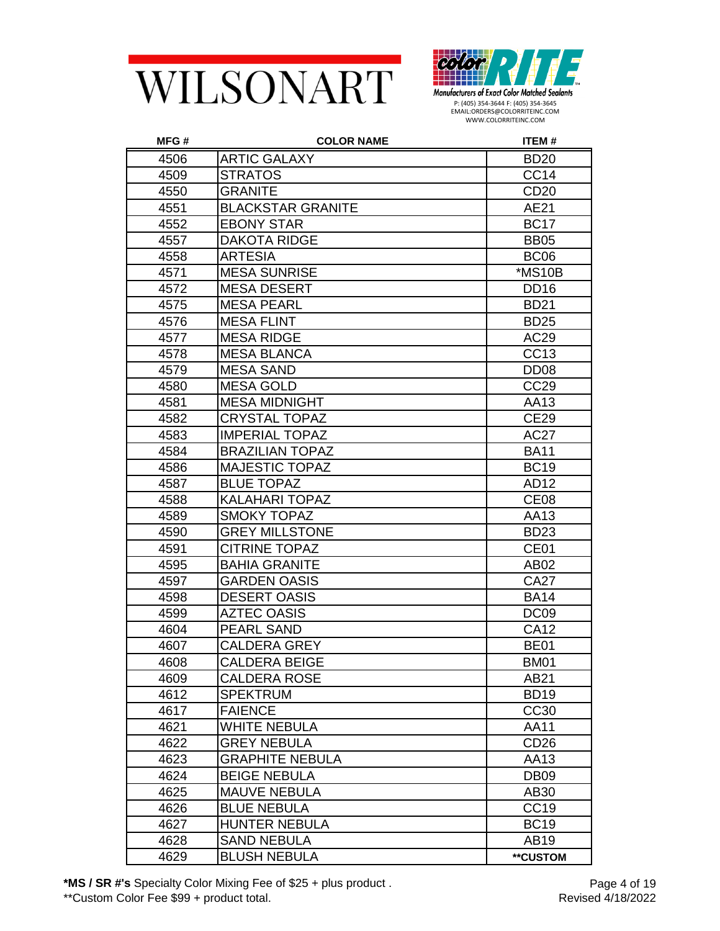



| MFG# | <b>COLOR NAME</b>        | ITEM#            |
|------|--------------------------|------------------|
| 4506 | <b>ARTIC GALAXY</b>      | <b>BD20</b>      |
| 4509 | <b>STRATOS</b>           | CC <sub>14</sub> |
| 4550 | <b>GRANITE</b>           | <b>CD20</b>      |
| 4551 | <b>BLACKSTAR GRANITE</b> | AE21             |
| 4552 | <b>EBONY STAR</b>        | <b>BC17</b>      |
| 4557 | <b>DAKOTA RIDGE</b>      | <b>BB05</b>      |
| 4558 | <b>ARTESIA</b>           | BC <sub>06</sub> |
| 4571 | <b>MESA SUNRISE</b>      | *MS10B           |
| 4572 | <b>MESA DESERT</b>       | DD <sub>16</sub> |
| 4575 | <b>MESA PEARL</b>        | <b>BD21</b>      |
| 4576 | <b>MESA FLINT</b>        | <b>BD25</b>      |
| 4577 | <b>MESA RIDGE</b>        | AC29             |
| 4578 | <b>MESA BLANCA</b>       | CC13             |
| 4579 | <b>MESA SAND</b>         | DD <sub>08</sub> |
| 4580 | <b>MESA GOLD</b>         | CC <sub>29</sub> |
| 4581 | <b>MESA MIDNIGHT</b>     | AA13             |
| 4582 | <b>CRYSTAL TOPAZ</b>     | <b>CE29</b>      |
| 4583 | <b>IMPERIAL TOPAZ</b>    | <b>AC27</b>      |
| 4584 | <b>BRAZILIAN TOPAZ</b>   | <b>BA11</b>      |
| 4586 | <b>MAJESTIC TOPAZ</b>    | <b>BC19</b>      |
| 4587 | <b>BLUE TOPAZ</b>        | AD12             |
| 4588 | <b>KALAHARI TOPAZ</b>    | CE <sub>08</sub> |
| 4589 | <b>SMOKY TOPAZ</b>       | AA13             |
| 4590 | <b>GREY MILLSTONE</b>    | <b>BD23</b>      |
| 4591 | <b>CITRINE TOPAZ</b>     | CE01             |
| 4595 | <b>BAHIA GRANITE</b>     | AB02             |
| 4597 | <b>GARDEN OASIS</b>      | <b>CA27</b>      |
| 4598 | <b>DESERT OASIS</b>      | <b>BA14</b>      |
| 4599 | <b>AZTEC OASIS</b>       | DC <sub>09</sub> |
| 4604 | <b>PEARL SAND</b>        | <b>CA12</b>      |
| 4607 | <b>CALDERA GREY</b>      | <b>BE01</b>      |
| 4608 | <b>CALDERA BEIGE</b>     | <b>BM01</b>      |
| 4609 | <b>CALDERA ROSE</b>      | AB21             |
| 4612 | <b>SPEKTRUM</b>          | <b>BD19</b>      |
| 4617 | <b>FAIENCE</b>           | CC30             |
| 4621 | <b>WHITE NEBULA</b>      | AA11             |
| 4622 | <b>GREY NEBULA</b>       | CD <sub>26</sub> |
| 4623 | <b>GRAPHITE NEBULA</b>   | AA13             |
| 4624 | <b>BEIGE NEBULA</b>      | DB <sub>09</sub> |
| 4625 | <b>MAUVE NEBULA</b>      | AB30             |
| 4626 | <b>BLUE NEBULA</b>       | CC19             |
| 4627 | <b>HUNTER NEBULA</b>     | <b>BC19</b>      |
| 4628 | <b>SAND NEBULA</b>       | AB19             |
| 4629 | <b>BLUSH NEBULA</b>      | **CUSTOM         |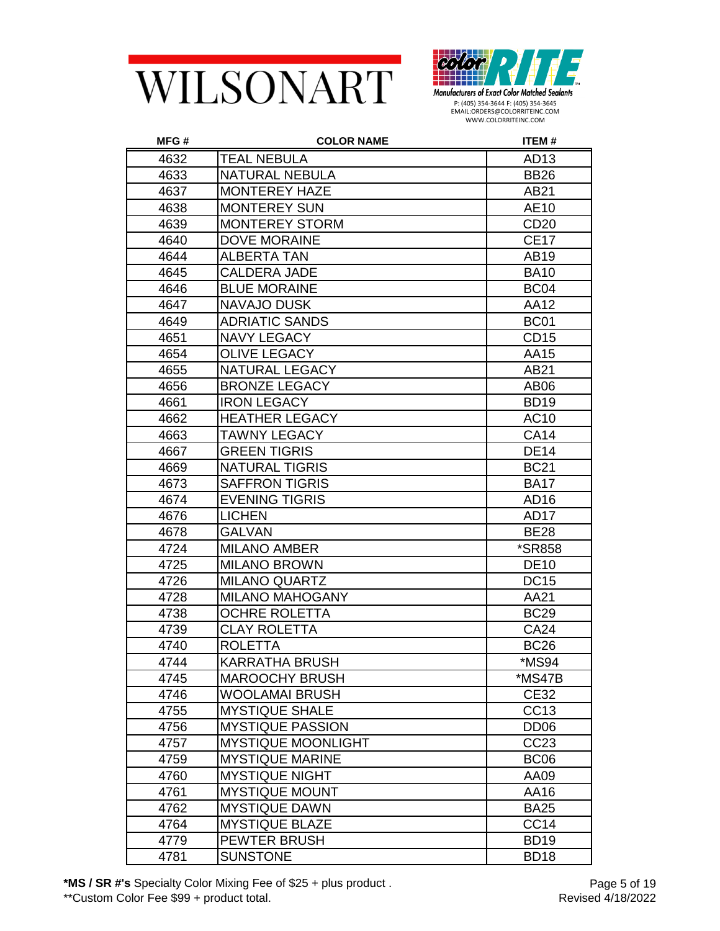



| MFG# | <b>COLOR NAME</b>         | ITEM#                |
|------|---------------------------|----------------------|
| 4632 | <b>TEAL NEBULA</b>        | AD13                 |
| 4633 | <b>NATURAL NEBULA</b>     | <b>BB26</b>          |
| 4637 | <b>MONTEREY HAZE</b>      | AB21                 |
| 4638 | <b>MONTEREY SUN</b>       | AE10                 |
| 4639 | <b>MONTEREY STORM</b>     | CD <sub>20</sub>     |
| 4640 | <b>DOVE MORAINE</b>       | <b>CE17</b>          |
| 4644 | <b>ALBERTA TAN</b>        | AB19                 |
| 4645 | <b>CALDERA JADE</b>       | <b>BA10</b>          |
| 4646 | <b>BLUE MORAINE</b>       | BC <sub>04</sub>     |
| 4647 | NAVAJO DUSK               | <b>AA12</b>          |
| 4649 | <b>ADRIATIC SANDS</b>     | BC <sub>01</sub>     |
| 4651 | <b>NAVY LEGACY</b>        | CD <sub>15</sub>     |
| 4654 | <b>OLIVE LEGACY</b>       | AA15                 |
| 4655 | <b>NATURAL LEGACY</b>     | AB21                 |
| 4656 | <b>BRONZE LEGACY</b>      | AB <sub>06</sub>     |
| 4661 | <b>IRON LEGACY</b>        | <b>BD19</b>          |
| 4662 | <b>HEATHER LEGACY</b>     | <b>AC10</b>          |
| 4663 | <b>TAWNY LEGACY</b>       | <b>CA14</b>          |
| 4667 | <b>GREEN TIGRIS</b>       | <b>DE14</b>          |
| 4669 | <b>NATURAL TIGRIS</b>     | <b>BC21</b>          |
| 4673 | <b>SAFFRON TIGRIS</b>     | <b>BA17</b>          |
| 4674 | <b>EVENING TIGRIS</b>     | AD <sub>16</sub>     |
| 4676 | <b>LICHEN</b>             | AD <sub>17</sub>     |
| 4678 | <b>GALVAN</b>             | <b>BE28</b>          |
| 4724 | <b>MILANO AMBER</b>       | <i><b>*SR858</b></i> |
| 4725 | <b>MILANO BROWN</b>       | <b>DE10</b>          |
| 4726 | <b>MILANO QUARTZ</b>      | <b>DC15</b>          |
| 4728 | <b>MILANO MAHOGANY</b>    | AA21                 |
| 4738 | <b>OCHRE ROLETTA</b>      | <b>BC29</b>          |
| 4739 | <b>CLAY ROLETTA</b>       | <b>CA24</b>          |
| 4740 | <b>ROLETTA</b>            | <b>BC26</b>          |
| 4744 | KARRATHA BRUSH            | *MS94                |
| 4745 | <b>MAROOCHY BRUSH</b>     | *MS47B               |
| 4746 | <b>WOOLAMAI BRUSH</b>     | <b>CE32</b>          |
| 4755 | <b>MYSTIQUE SHALE</b>     | CC13                 |
| 4756 | <b>MYSTIQUE PASSION</b>   | DD <sub>06</sub>     |
| 4757 | <b>MYSTIQUE MOONLIGHT</b> | CC23                 |
| 4759 | <b>MYSTIQUE MARINE</b>    | BC <sub>06</sub>     |
| 4760 | <b>MYSTIQUE NIGHT</b>     | AA09                 |
| 4761 | <b>MYSTIQUE MOUNT</b>     | AA16                 |
| 4762 | <b>MYSTIQUE DAWN</b>      | <b>BA25</b>          |
| 4764 | <b>MYSTIQUE BLAZE</b>     | CC <sub>14</sub>     |
| 4779 | PEWTER BRUSH              | <b>BD19</b>          |
| 4781 | <b>SUNSTONE</b>           | <b>BD18</b>          |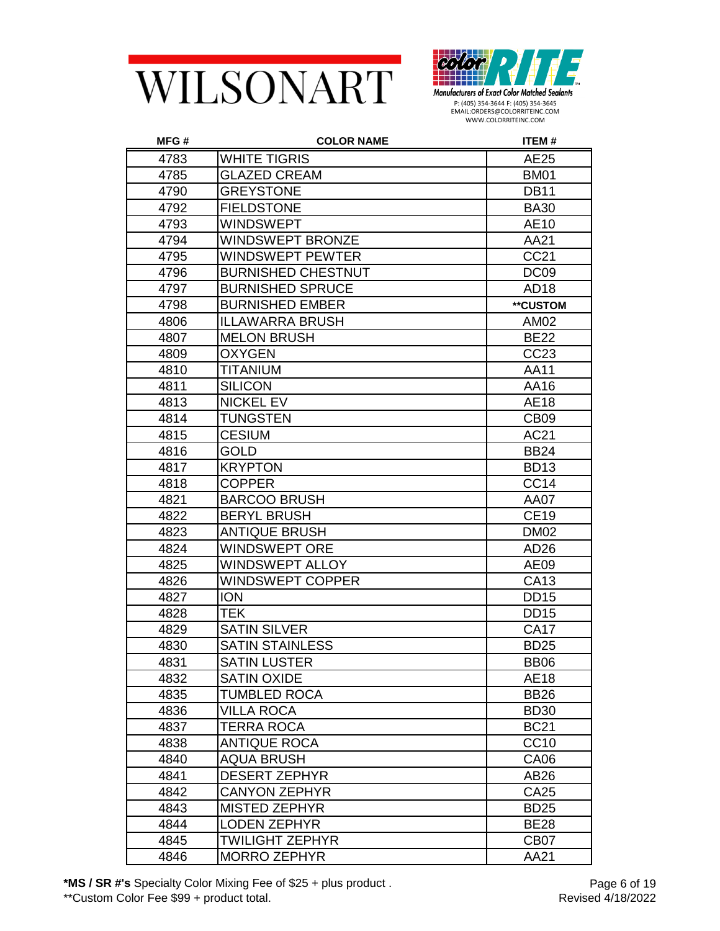



| MFG# | <b>COLOR NAME</b>         | ITEM#            |
|------|---------------------------|------------------|
| 4783 | WHITE TIGRIS              | AE25             |
| 4785 | <b>GLAZED CREAM</b>       | <b>BM01</b>      |
| 4790 | <b>GREYSTONE</b>          | <b>DB11</b>      |
| 4792 | <b>FIELDSTONE</b>         | <b>BA30</b>      |
| 4793 | <b>WINDSWEPT</b>          | AE10             |
| 4794 | <b>WINDSWEPT BRONZE</b>   | AA21             |
| 4795 | WINDSWEPT PEWTER          | CC21             |
| 4796 | <b>BURNISHED CHESTNUT</b> | DC <sub>09</sub> |
| 4797 | <b>BURNISHED SPRUCE</b>   | AD <sub>18</sub> |
| 4798 | <b>BURNISHED EMBER</b>    | **CUSTOM         |
| 4806 | <b>ILLAWARRA BRUSH</b>    | AM02             |
| 4807 | <b>MELON BRUSH</b>        | <b>BE22</b>      |
| 4809 | <b>OXYGEN</b>             | CC <sub>23</sub> |
| 4810 | TITANIUM                  | AA11             |
| 4811 | <b>SILICON</b>            | AA16             |
| 4813 | <b>NICKEL EV</b>          | <b>AE18</b>      |
| 4814 | <b>TUNGSTEN</b>           | CB <sub>09</sub> |
| 4815 | <b>CESIUM</b>             | <b>AC21</b>      |
| 4816 | GOLD                      | <b>BB24</b>      |
| 4817 | <b>KRYPTON</b>            | <b>BD13</b>      |
| 4818 | <b>COPPER</b>             | CC14             |
| 4821 | <b>BARCOO BRUSH</b>       | AA07             |
| 4822 | <b>BERYL BRUSH</b>        | <b>CE19</b>      |
| 4823 | <b>ANTIQUE BRUSH</b>      | <b>DM02</b>      |
| 4824 | WINDSWEPT ORE             | AD <sub>26</sub> |
| 4825 | WINDSWEPT ALLOY           | AE09             |
| 4826 | WINDSWEPT COPPER          | CA13             |
| 4827 | <b>ION</b>                | <b>DD15</b>      |
| 4828 | <b>TEK</b>                | <b>DD15</b>      |
| 4829 | <b>SATIN SILVER</b>       | <b>CA17</b>      |
| 4830 | <b>SATIN STAINLESS</b>    | <b>BD25</b>      |
| 4831 | <b>SATIN LUSTER</b>       | BB <sub>06</sub> |
| 4832 | <b>SATIN OXIDE</b>        | <b>AE18</b>      |
| 4835 | TUMBLED ROCA              | <b>BB26</b>      |
| 4836 | VILLA ROCA                | <b>BD30</b>      |
| 4837 | TERRA ROCA                | <b>BC21</b>      |
| 4838 | <b>ANTIQUE ROCA</b>       | CC10             |
| 4840 | <b>AQUA BRUSH</b>         | <b>CA06</b>      |
| 4841 | <b>DESERT ZEPHYR</b>      | AB26             |
| 4842 | <b>CANYON ZEPHYR</b>      | <b>CA25</b>      |
| 4843 | <b>MISTED ZEPHYR</b>      | <b>BD25</b>      |
| 4844 | <b>LODEN ZEPHYR</b>       | <b>BE28</b>      |
| 4845 | <b>TWILIGHT ZEPHYR</b>    | CB <sub>07</sub> |
| 4846 | <b>MORRO ZEPHYR</b>       | AA21             |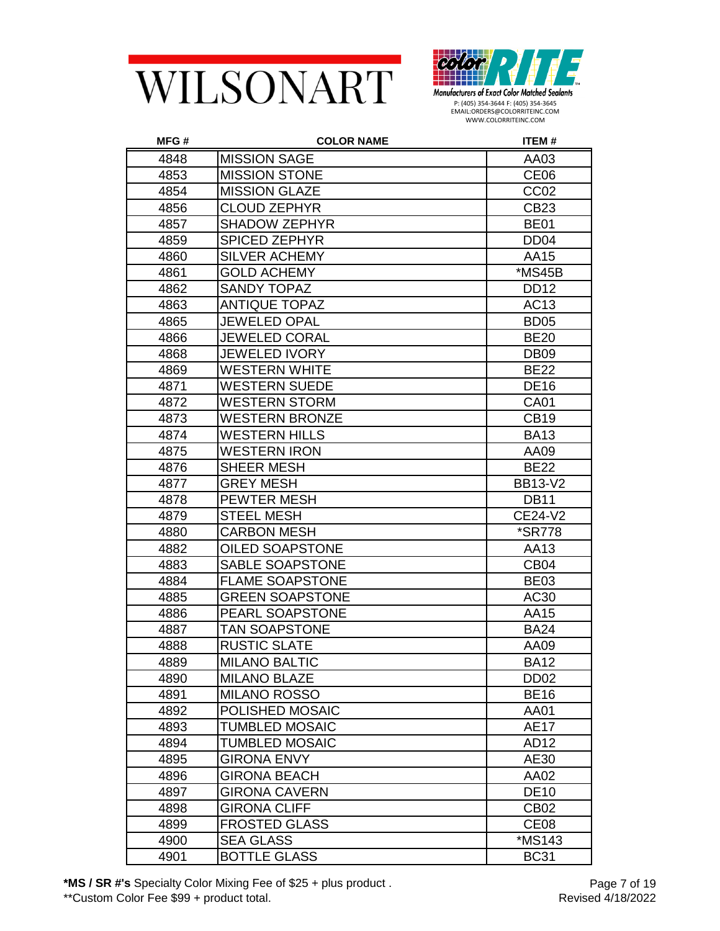



| MFG# | <b>COLOR NAME</b>      | <b>ITEM#</b>         |
|------|------------------------|----------------------|
| 4848 | <b>MISSION SAGE</b>    | AA03                 |
| 4853 | <b>MISSION STONE</b>   | CE <sub>06</sub>     |
| 4854 | <b>MISSION GLAZE</b>   | CC <sub>02</sub>     |
| 4856 | <b>CLOUD ZEPHYR</b>    | CB23                 |
| 4857 | <b>SHADOW ZEPHYR</b>   | <b>BE01</b>          |
| 4859 | <b>SPICED ZEPHYR</b>   | DD <sub>04</sub>     |
| 4860 | <b>SILVER ACHEMY</b>   | AA15                 |
| 4861 | <b>GOLD ACHEMY</b>     | *MS45B               |
| 4862 | SANDY TOPAZ            | DD <sub>12</sub>     |
| 4863 | <b>ANTIQUE TOPAZ</b>   | AC13                 |
| 4865 | JEWELED OPAL           | BD <sub>05</sub>     |
| 4866 | <b>JEWELED CORAL</b>   | <b>BE20</b>          |
| 4868 | <b>JEWELED IVORY</b>   | <b>DB09</b>          |
| 4869 | <b>WESTERN WHITE</b>   | <b>BE22</b>          |
| 4871 | <b>WESTERN SUEDE</b>   | <b>DE16</b>          |
| 4872 | <b>WESTERN STORM</b>   | <b>CA01</b>          |
| 4873 | <b>WESTERN BRONZE</b>  | <b>CB19</b>          |
| 4874 | <b>WESTERN HILLS</b>   | <b>BA13</b>          |
| 4875 | <b>WESTERN IRON</b>    | AA09                 |
| 4876 | SHEER MESH             | <b>BE22</b>          |
| 4877 | <b>GREY MESH</b>       | <b>BB13-V2</b>       |
| 4878 | <b>PEWTER MESH</b>     | <b>DB11</b>          |
| 4879 | <b>STEEL MESH</b>      | CE24-V2              |
| 4880 | <b>CARBON MESH</b>     | <i><b>*SR778</b></i> |
| 4882 | OILED SOAPSTONE        | AA13                 |
| 4883 | SABLE SOAPSTONE        | CB <sub>04</sub>     |
| 4884 | <b>FLAME SOAPSTONE</b> | <b>BE03</b>          |
| 4885 | <b>GREEN SOAPSTONE</b> | AC30                 |
| 4886 | PEARL SOAPSTONE        | AA15                 |
| 4887 | <b>TAN SOAPSTONE</b>   | <b>BA24</b>          |
| 4888 | <b>RUSTIC SLATE</b>    | AA09                 |
| 4889 | <b>MILANO BALTIC</b>   | <b>BA12</b>          |
| 4890 | <b>MILANO BLAZE</b>    | DD <sub>02</sub>     |
| 4891 | <b>MILANO ROSSO</b>    | <b>BE16</b>          |
| 4892 | POLISHED MOSAIC        | AA01                 |
| 4893 | <b>TUMBLED MOSAIC</b>  | <b>AE17</b>          |
| 4894 | <b>TUMBLED MOSAIC</b>  | AD12                 |
| 4895 | <b>GIRONA ENVY</b>     | AE30                 |
| 4896 | <b>GIRONA BEACH</b>    | AA02                 |
| 4897 | <b>GIRONA CAVERN</b>   | <b>DE10</b>          |
| 4898 | <b>GIRONA CLIFF</b>    | <b>CB02</b>          |
| 4899 | <b>FROSTED GLASS</b>   | CE <sub>08</sub>     |
| 4900 | <b>SEA GLASS</b>       | *MS143               |
| 4901 | <b>BOTTLE GLASS</b>    | <b>BC31</b>          |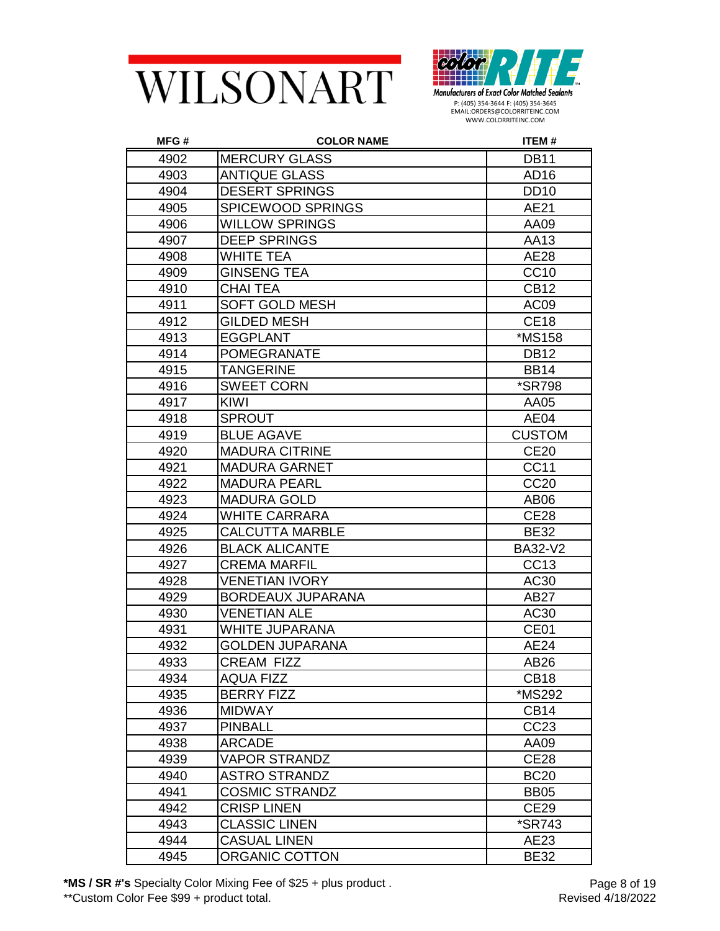



| MFG# | <b>COLOR NAME</b>        | ITEM#                |
|------|--------------------------|----------------------|
| 4902 | <b>MERCURY GLASS</b>     | <b>DB11</b>          |
| 4903 | <b>ANTIQUE GLASS</b>     | AD16                 |
| 4904 | <b>DESERT SPRINGS</b>    | <b>DD10</b>          |
| 4905 | <b>SPICEWOOD SPRINGS</b> | AE21                 |
| 4906 | <b>WILLOW SPRINGS</b>    | AA09                 |
| 4907 | <b>DEEP SPRINGS</b>      | AA13                 |
| 4908 | <b>WHITE TEA</b>         | <b>AE28</b>          |
| 4909 | <b>GINSENG TEA</b>       | <b>CC10</b>          |
| 4910 | <b>CHAI TEA</b>          | <b>CB12</b>          |
| 4911 | <b>SOFT GOLD MESH</b>    | AC09                 |
| 4912 | <b>GILDED MESH</b>       | <b>CE18</b>          |
| 4913 | <b>EGGPLANT</b>          | <i><b>*MS158</b></i> |
| 4914 | <b>POMEGRANATE</b>       | <b>DB12</b>          |
| 4915 | <b>TANGERINE</b>         | <b>BB14</b>          |
| 4916 | <b>SWEET CORN</b>        | <i><b>*SR798</b></i> |
| 4917 | <b>KIWI</b>              | AA05                 |
| 4918 | <b>SPROUT</b>            | AE04                 |
| 4919 | <b>BLUE AGAVE</b>        | <b>CUSTOM</b>        |
| 4920 | <b>MADURA CITRINE</b>    | <b>CE20</b>          |
| 4921 | <b>MADURA GARNET</b>     | <b>CC11</b>          |
| 4922 | <b>MADURA PEARL</b>      | CC <sub>20</sub>     |
| 4923 | <b>MADURA GOLD</b>       | AB <sub>06</sub>     |
| 4924 | <b>WHITE CARRARA</b>     | <b>CE28</b>          |
| 4925 | <b>CALCUTTA MARBLE</b>   | <b>BE32</b>          |
| 4926 | <b>BLACK ALICANTE</b>    | <b>BA32-V2</b>       |
| 4927 | <b>CREMA MARFIL</b>      | CC13                 |
| 4928 | <b>VENETIAN IVORY</b>    | AC30                 |
| 4929 | <b>BORDEAUX JUPARANA</b> | <b>AB27</b>          |
| 4930 | <b>VENETIAN ALE</b>      | AC30                 |
| 4931 | WHITE JUPARANA           | CE01                 |
| 4932 | <b>GOLDEN JUPARANA</b>   | AE24                 |
| 4933 | CREAM FIZZ               | AB26                 |
| 4934 | <b>AQUA FIZZ</b>         | <b>CB18</b>          |
| 4935 | <b>BERRY FIZZ</b>        | *MS292               |
| 4936 | <b>MIDWAY</b>            | CB <sub>14</sub>     |
| 4937 | <b>PINBALL</b>           | CC23                 |
| 4938 | <b>ARCADE</b>            | AA09                 |
| 4939 | <b>VAPOR STRANDZ</b>     | <b>CE28</b>          |
| 4940 | <b>ASTRO STRANDZ</b>     | <b>BC20</b>          |
| 4941 | <b>COSMIC STRANDZ</b>    | <b>BB05</b>          |
| 4942 | <b>CRISP LINEN</b>       | <b>CE29</b>          |
| 4943 | <b>CLASSIC LINEN</b>     | *SR743               |
| 4944 | <b>CASUAL LINEN</b>      | AE23                 |
| 4945 | ORGANIC COTTON           | <b>BE32</b>          |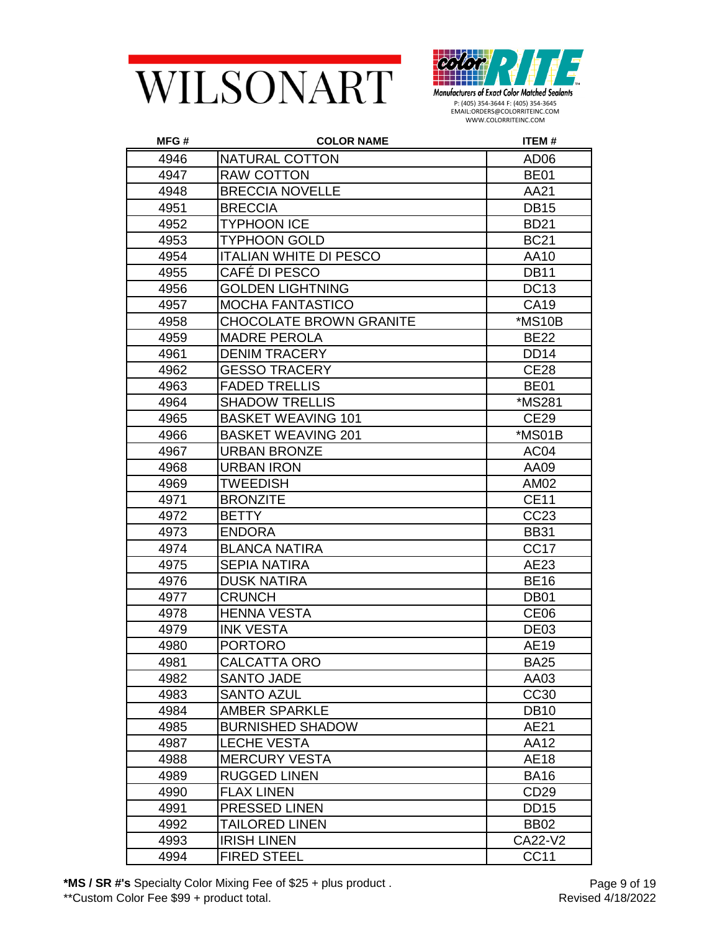



| MFG# | <b>COLOR NAME</b>              | ITEM#            |
|------|--------------------------------|------------------|
| 4946 | NATURAL COTTON                 | AD <sub>06</sub> |
| 4947 | <b>RAW COTTON</b>              | <b>BE01</b>      |
| 4948 | <b>BRECCIA NOVELLE</b>         | AA21             |
| 4951 | <b>BRECCIA</b>                 | <b>DB15</b>      |
| 4952 | <b>TYPHOON ICE</b>             | <b>BD21</b>      |
| 4953 | <b>TYPHOON GOLD</b>            | <b>BC21</b>      |
| 4954 | <b>ITALIAN WHITE DI PESCO</b>  | AA10             |
| 4955 | CAFÉ DI PESCO                  | <b>DB11</b>      |
| 4956 | <b>GOLDEN LIGHTNING</b>        | <b>DC13</b>      |
| 4957 | <b>MOCHA FANTASTICO</b>        | <b>CA19</b>      |
| 4958 | <b>CHOCOLATE BROWN GRANITE</b> | *MS10B           |
| 4959 | <b>MADRE PEROLA</b>            | <b>BE22</b>      |
| 4961 | <b>DENIM TRACERY</b>           | <b>DD14</b>      |
| 4962 | <b>GESSO TRACERY</b>           | <b>CE28</b>      |
| 4963 | <b>FADED TRELLIS</b>           | <b>BE01</b>      |
| 4964 | <b>SHADOW TRELLIS</b>          | *MS281           |
| 4965 | <b>BASKET WEAVING 101</b>      | <b>CE29</b>      |
| 4966 | <b>BASKET WEAVING 201</b>      | *MS01B           |
| 4967 | <b>URBAN BRONZE</b>            | AC <sub>04</sub> |
| 4968 | <b>URBAN IRON</b>              | AA09             |
| 4969 | <b>TWEEDISH</b>                | AM02             |
| 4971 | <b>BRONZITE</b>                | <b>CE11</b>      |
| 4972 | <b>BETTY</b>                   | CC23             |
| 4973 | <b>ENDORA</b>                  | <b>BB31</b>      |
| 4974 | <b>BLANCA NATIRA</b>           | CC <sub>17</sub> |
| 4975 | <b>SEPIA NATIRA</b>            | AE23             |
| 4976 | <b>DUSK NATIRA</b>             | <b>BE16</b>      |
| 4977 | <b>CRUNCH</b>                  | DB <sub>01</sub> |
| 4978 | <b>HENNA VESTA</b>             | CE <sub>06</sub> |
| 4979 | <b>INK VESTA</b>               | <b>DE03</b>      |
| 4980 | <b>PORTORO</b>                 | AE19             |
| 4981 | CALCATTA ORO                   | <b>BA25</b>      |
| 4982 | <b>SANTO JADE</b>              | AA03             |
| 4983 | <b>SANTO AZUL</b>              | CC30             |
| 4984 | <b>AMBER SPARKLE</b>           | <b>DB10</b>      |
| 4985 | <b>BURNISHED SHADOW</b>        | AE21             |
| 4987 | <b>LECHE VESTA</b>             | AA12             |
| 4988 | <b>MERCURY VESTA</b>           | <b>AE18</b>      |
| 4989 | <b>RUGGED LINEN</b>            | <b>BA16</b>      |
| 4990 | <b>FLAX LINEN</b>              | CD29             |
| 4991 | <b>PRESSED LINEN</b>           | <b>DD15</b>      |
| 4992 | <b>TAILORED LINEN</b>          | <b>BB02</b>      |
| 4993 | <b>IRISH LINEN</b>             | CA22-V2          |
| 4994 | <b>FIRED STEEL</b>             | <b>CC11</b>      |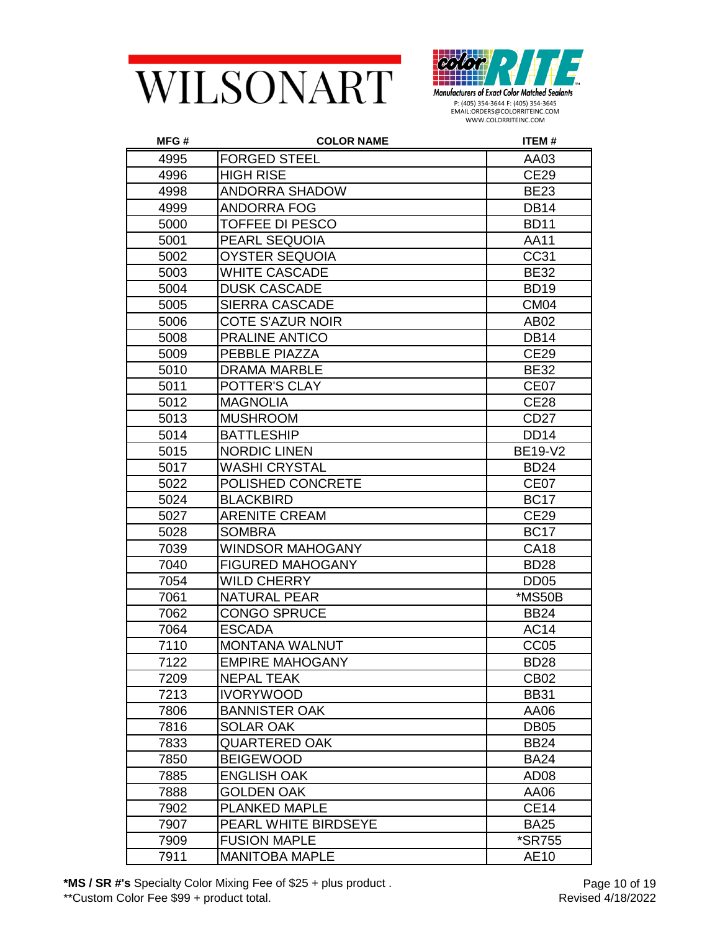



| MFG# | <b>COLOR NAME</b>       | ITEM#                |
|------|-------------------------|----------------------|
| 4995 | <b>FORGED STEEL</b>     | AA03                 |
| 4996 | <b>HIGH RISE</b>        | <b>CE29</b>          |
| 4998 | <b>ANDORRA SHADOW</b>   | <b>BE23</b>          |
| 4999 | <b>ANDORRA FOG</b>      | <b>DB14</b>          |
| 5000 | <b>TOFFEE DI PESCO</b>  | <b>BD11</b>          |
| 5001 | PEARL SEQUOIA           | <b>AA11</b>          |
| 5002 | <b>OYSTER SEQUOIA</b>   | CC31                 |
| 5003 | <b>WHITE CASCADE</b>    | <b>BE32</b>          |
| 5004 | <b>DUSK CASCADE</b>     | <b>BD19</b>          |
| 5005 | <b>SIERRA CASCADE</b>   | CM <sub>04</sub>     |
| 5006 | <b>COTE S'AZUR NOIR</b> | AB <sub>02</sub>     |
| 5008 | <b>PRALINE ANTICO</b>   | <b>DB14</b>          |
| 5009 | PEBBLE PIAZZA           | <b>CE29</b>          |
| 5010 | <b>DRAMA MARBLE</b>     | <b>BE32</b>          |
| 5011 | POTTER'S CLAY           | CE <sub>07</sub>     |
| 5012 | <b>MAGNOLIA</b>         | <b>CE28</b>          |
| 5013 | <b>MUSHROOM</b>         | CD <sub>27</sub>     |
| 5014 | <b>BATTLESHIP</b>       | <b>DD14</b>          |
| 5015 | <b>NORDIC LINEN</b>     | <b>BE19-V2</b>       |
| 5017 | <b>WASHI CRYSTAL</b>    | <b>BD24</b>          |
| 5022 | POLISHED CONCRETE       | CE <sub>07</sub>     |
| 5024 | <b>BLACKBIRD</b>        | <b>BC17</b>          |
| 5027 | <b>ARENITE CREAM</b>    | <b>CE29</b>          |
| 5028 | <b>SOMBRA</b>           | <b>BC17</b>          |
| 7039 | WINDSOR MAHOGANY        | <b>CA18</b>          |
| 7040 | <b>FIGURED MAHOGANY</b> | <b>BD28</b>          |
| 7054 | <b>WILD CHERRY</b>      | DD <sub>05</sub>     |
| 7061 | <b>NATURAL PEAR</b>     | *MS50B               |
| 7062 | <b>CONGO SPRUCE</b>     | <b>BB24</b>          |
| 7064 | <b>ESCADA</b>           | <b>AC14</b>          |
| 7110 | <b>MONTANA WALNUT</b>   | CC <sub>05</sub>     |
| 7122 | <b>EMPIRE MAHOGANY</b>  | <b>BD28</b>          |
| 7209 | <b>NEPAL TEAK</b>       | <b>CB02</b>          |
| 7213 | <b>IVORYWOOD</b>        | <b>BB31</b>          |
| 7806 | <b>BANNISTER OAK</b>    | AA06                 |
| 7816 | <b>SOLAR OAK</b>        | DB <sub>05</sub>     |
| 7833 | QUARTERED OAK           | <b>BB24</b>          |
| 7850 | <b>BEIGEWOOD</b>        | <b>BA24</b>          |
| 7885 | <b>ENGLISH OAK</b>      | AD <sub>08</sub>     |
| 7888 | <b>GOLDEN OAK</b>       | AA06                 |
| 7902 | <b>PLANKED MAPLE</b>    | <b>CE14</b>          |
| 7907 | PEARL WHITE BIRDSEYE    | <b>BA25</b>          |
| 7909 | <b>FUSION MAPLE</b>     | <i><b>*SR755</b></i> |
| 7911 | <b>MANITOBA MAPLE</b>   | AE10                 |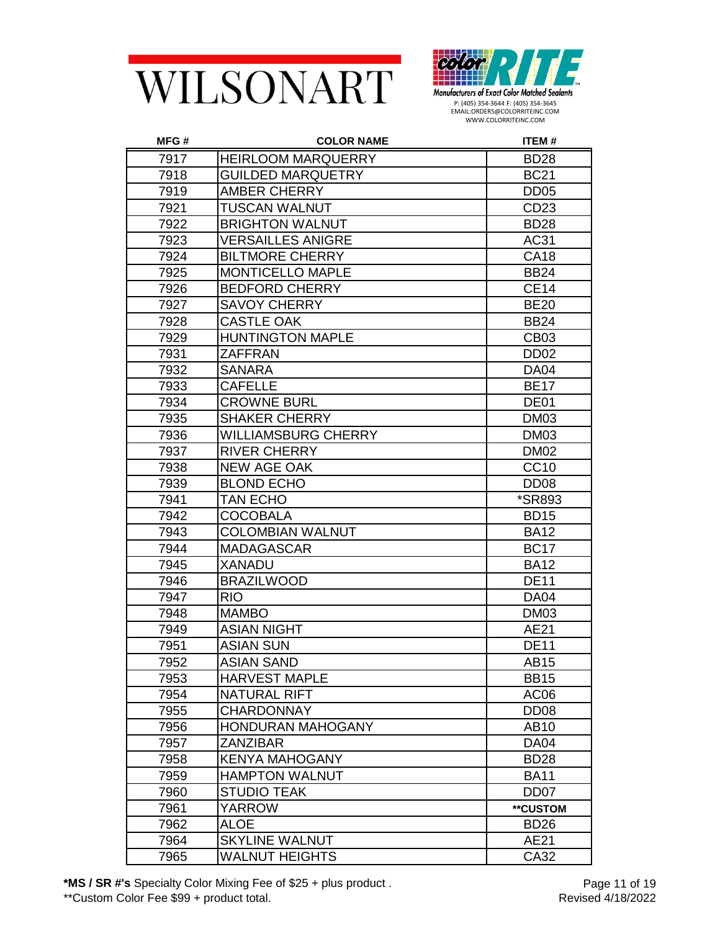



| MFG# | <b>COLOR NAME</b>          | <b>ITEM#</b>         |
|------|----------------------------|----------------------|
| 7917 | <b>HEIRLOOM MARQUERRY</b>  | <b>BD28</b>          |
| 7918 | <b>GUILDED MARQUETRY</b>   | <b>BC21</b>          |
| 7919 | <b>AMBER CHERRY</b>        | <b>DD05</b>          |
| 7921 | TUSCAN WALNUT              | CD <sub>23</sub>     |
| 7922 | <b>BRIGHTON WALNUT</b>     | <b>BD28</b>          |
| 7923 | <b>VERSAILLES ANIGRE</b>   | AC31                 |
| 7924 | <b>BILTMORE CHERRY</b>     | <b>CA18</b>          |
| 7925 | <b>MONTICELLO MAPLE</b>    | <b>BB24</b>          |
| 7926 | <b>BEDFORD CHERRY</b>      | <b>CE14</b>          |
| 7927 | <b>SAVOY CHERRY</b>        | <b>BE20</b>          |
| 7928 | <b>CASTLE OAK</b>          | <b>BB24</b>          |
| 7929 | <b>HUNTINGTON MAPLE</b>    | CB <sub>03</sub>     |
| 7931 | ZAFFRAN                    | DD <sub>02</sub>     |
| 7932 | <b>SANARA</b>              | DA04                 |
| 7933 | <b>CAFELLE</b>             | <b>BE17</b>          |
| 7934 | <b>CROWNE BURL</b>         | DE01                 |
| 7935 | <b>SHAKER CHERRY</b>       | <b>DM03</b>          |
| 7936 | <b>WILLIAMSBURG CHERRY</b> | <b>DM03</b>          |
| 7937 | <b>RIVER CHERRY</b>        | <b>DM02</b>          |
| 7938 | <b>NEW AGE OAK</b>         | CC10                 |
| 7939 | <b>BLOND ECHO</b>          | DD <sub>08</sub>     |
| 7941 | <b>TAN ECHO</b>            | <i><b>*SR893</b></i> |
| 7942 | COCOBALA                   | <b>BD15</b>          |
| 7943 | <b>COLOMBIAN WALNUT</b>    | <b>BA12</b>          |
| 7944 | <b>MADAGASCAR</b>          | <b>BC17</b>          |
| 7945 | <b>XANADU</b>              | <b>BA12</b>          |
| 7946 | <b>BRAZILWOOD</b>          | <b>DE11</b>          |
| 7947 | <b>RIO</b>                 | <b>DA04</b>          |
| 7948 | <b>MAMBO</b>               | <b>DM03</b>          |
| 7949 | <b>ASIAN NIGHT</b>         | AE21                 |
| 7951 | <b>ASIAN SUN</b>           | <b>DE11</b>          |
| 7952 | <b>ASIAN SAND</b>          | AB15                 |
| 7953 | <b>HARVEST MAPLE</b>       | <b>BB15</b>          |
| 7954 | NATURAL RIFT               | AC <sub>06</sub>     |
| 7955 | <b>CHARDONNAY</b>          | DD <sub>08</sub>     |
| 7956 | <b>HONDURAN MAHOGANY</b>   | AB10                 |
| 7957 | <b>ZANZIBAR</b>            | <b>DA04</b>          |
| 7958 | <b>KENYA MAHOGANY</b>      | <b>BD28</b>          |
| 7959 | <b>HAMPTON WALNUT</b>      | <b>BA11</b>          |
| 7960 | <b>STUDIO TEAK</b>         | DD <sub>07</sub>     |
| 7961 | <b>YARROW</b>              | **CUSTOM             |
| 7962 | <b>ALOE</b>                | BD <sub>26</sub>     |
| 7964 | <b>SKYLINE WALNUT</b>      | AE21                 |
| 7965 | <b>WALNUT HEIGHTS</b>      | CA32                 |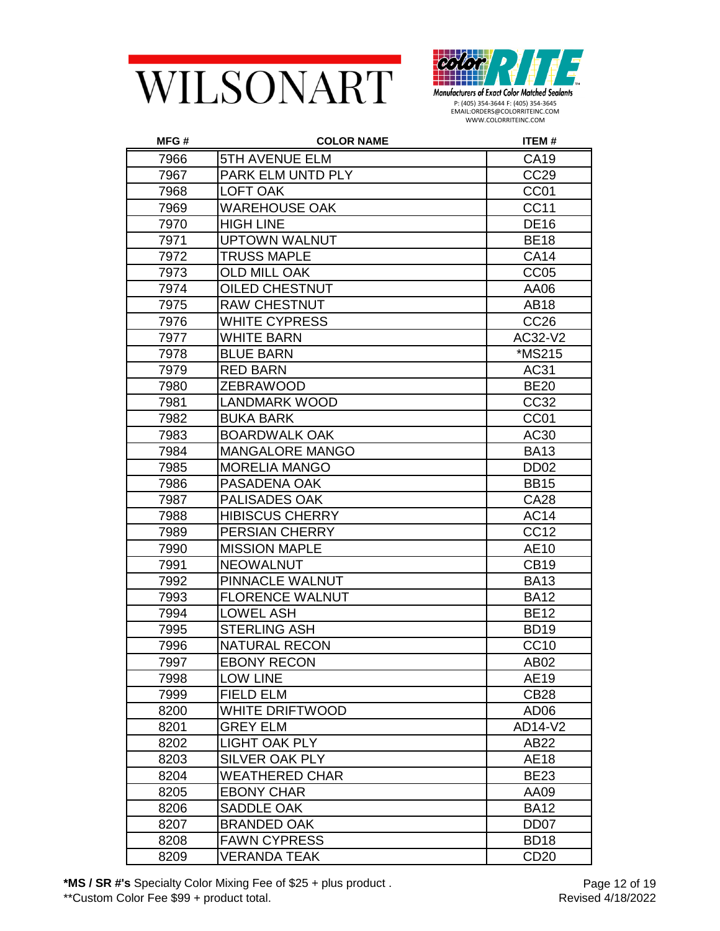



| MFG# | <b>COLOR NAME</b>      | ITEM#            |
|------|------------------------|------------------|
| 7966 | <b>5TH AVENUE ELM</b>  | <b>CA19</b>      |
| 7967 | PARK ELM UNTD PLY      | CC <sub>29</sub> |
| 7968 | <b>LOFT OAK</b>        | CC01             |
| 7969 | <b>WAREHOUSE OAK</b>   | <b>CC11</b>      |
| 7970 | <b>HIGH LINE</b>       | <b>DE16</b>      |
| 7971 | <b>UPTOWN WALNUT</b>   | <b>BE18</b>      |
| 7972 | <b>TRUSS MAPLE</b>     | <b>CA14</b>      |
| 7973 | <b>OLD MILL OAK</b>    | CC <sub>05</sub> |
| 7974 | OILED CHESTNUT         | AA06             |
| 7975 | <b>RAW CHESTNUT</b>    | <b>AB18</b>      |
| 7976 | <b>WHITE CYPRESS</b>   | CC <sub>26</sub> |
| 7977 | <b>WHITE BARN</b>      | AC32-V2          |
| 7978 | <b>BLUE BARN</b>       | *MS215           |
| 7979 | <b>RED BARN</b>        | AC31             |
| 7980 | <b>ZEBRAWOOD</b>       | <b>BE20</b>      |
| 7981 | <b>LANDMARK WOOD</b>   | CC32             |
| 7982 | <b>BUKA BARK</b>       | CC <sub>01</sub> |
| 7983 | <b>BOARDWALK OAK</b>   | AC30             |
| 7984 | <b>MANGALORE MANGO</b> | <b>BA13</b>      |
| 7985 | <b>MORELIA MANGO</b>   | DD <sub>02</sub> |
| 7986 | PASADENA OAK           | <b>BB15</b>      |
| 7987 | PALISADES OAK          | <b>CA28</b>      |
| 7988 | <b>HIBISCUS CHERRY</b> | <b>AC14</b>      |
| 7989 | PERSIAN CHERRY         | CC <sub>12</sub> |
| 7990 | <b>MISSION MAPLE</b>   | AE10             |
| 7991 | <b>NEOWALNUT</b>       | <b>CB19</b>      |
| 7992 | PINNACLE WALNUT        | <b>BA13</b>      |
| 7993 | <b>FLORENCE WALNUT</b> | <b>BA12</b>      |
| 7994 | <b>LOWEL ASH</b>       | <b>BE12</b>      |
| 7995 | <b>STERLING ASH</b>    | <b>BD19</b>      |
| 7996 | <b>NATURAL RECON</b>   | <b>CC10</b>      |
| 7997 | <b>EBONY RECON</b>     | AB02             |
| 7998 | <b>LOW LINE</b>        | AE19             |
| 7999 | <b>FIELD ELM</b>       | CB <sub>28</sub> |
| 8200 | WHITE DRIFTWOOD        | AD <sub>06</sub> |
| 8201 | <b>GREY ELM</b>        | AD14-V2          |
| 8202 | <b>LIGHT OAK PLY</b>   | AB22             |
| 8203 | <b>SILVER OAK PLY</b>  | <b>AE18</b>      |
| 8204 | <b>WEATHERED CHAR</b>  | <b>BE23</b>      |
| 8205 | <b>EBONY CHAR</b>      | AA09             |
| 8206 | <b>SADDLE OAK</b>      | <b>BA12</b>      |
| 8207 | <b>BRANDED OAK</b>     | DD <sub>07</sub> |
| 8208 | <b>FAWN CYPRESS</b>    | <b>BD18</b>      |
| 8209 | VERANDA TEAK           | CD <sub>20</sub> |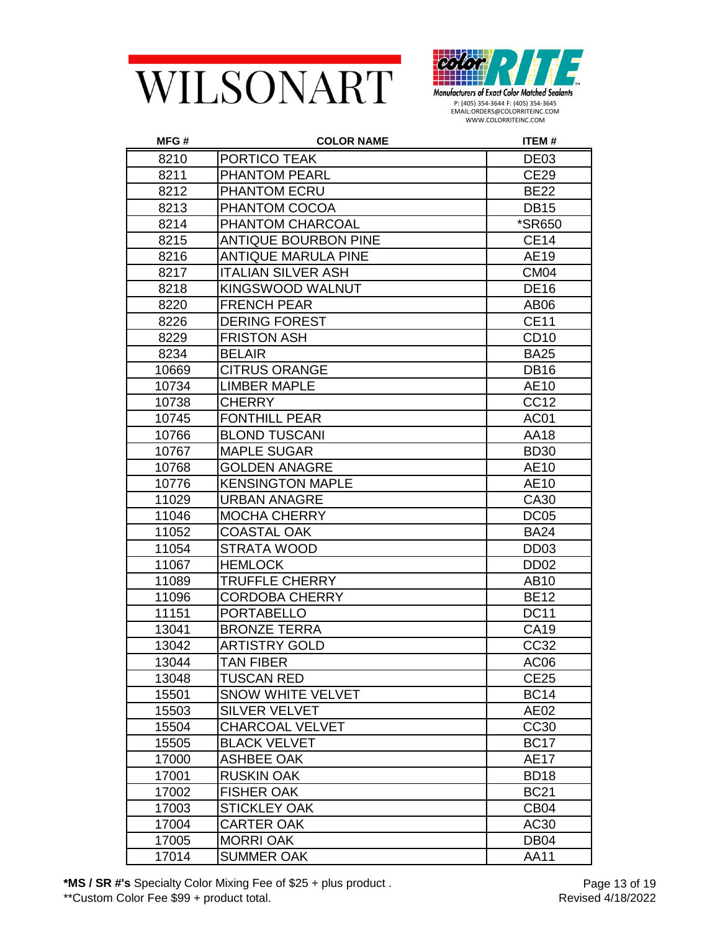



| MFG#  | <b>COLOR NAME</b>           | ITEM#            |
|-------|-----------------------------|------------------|
| 8210  | PORTICO TEAK                | DE <sub>03</sub> |
| 8211  | PHANTOM PEARL               | <b>CE29</b>      |
| 8212  | PHANTOM ECRU                | <b>BE22</b>      |
| 8213  | PHANTOM COCOA               | <b>DB15</b>      |
| 8214  | PHANTOM CHARCOAL            | *SR650           |
| 8215  | <b>ANTIQUE BOURBON PINE</b> | <b>CE14</b>      |
| 8216  | <b>ANTIQUE MARULA PINE</b>  | AE19             |
| 8217  | <b>ITALIAN SILVER ASH</b>   | <b>CM04</b>      |
| 8218  | KINGSWOOD WALNUT            | <b>DE16</b>      |
| 8220  | <b>FRENCH PEAR</b>          | AB06             |
| 8226  | <b>DERING FOREST</b>        | <b>CE11</b>      |
| 8229  | <b>FRISTON ASH</b>          | CD <sub>10</sub> |
| 8234  | <b>BELAIR</b>               | <b>BA25</b>      |
| 10669 | <b>CITRUS ORANGE</b>        | <b>DB16</b>      |
| 10734 | <b>LIMBER MAPLE</b>         | AE10             |
| 10738 | <b>CHERRY</b>               | <b>CC12</b>      |
| 10745 | <b>FONTHILL PEAR</b>        | AC01             |
| 10766 | <b>BLOND TUSCANI</b>        | AA18             |
| 10767 | <b>MAPLE SUGAR</b>          | <b>BD30</b>      |
| 10768 | <b>GOLDEN ANAGRE</b>        | AE10             |
| 10776 | <b>KENSINGTON MAPLE</b>     | AE10             |
| 11029 | <b>URBAN ANAGRE</b>         | CA30             |
| 11046 | <b>MOCHA CHERRY</b>         | <b>DC05</b>      |
| 11052 | <b>COASTAL OAK</b>          | <b>BA24</b>      |
| 11054 | <b>STRATA WOOD</b>          | DD <sub>03</sub> |
| 11067 | <b>HEMLOCK</b>              | DD <sub>02</sub> |
| 11089 | <b>TRUFFLE CHERRY</b>       | AB10             |
| 11096 | <b>CORDOBA CHERRY</b>       | <b>BE12</b>      |
| 11151 | <b>PORTABELLO</b>           | <b>DC11</b>      |
| 13041 | <b>BRONZE TERRA</b>         | <b>CA19</b>      |
| 13042 | <b>ARTISTRY GOLD</b>        | CC32             |
| 13044 | <b>TAN FIBER</b>            | AC <sub>06</sub> |
| 13048 | <b>TUSCAN RED</b>           | <b>CE25</b>      |
| 15501 | <b>SNOW WHITE VELVET</b>    | <b>BC14</b>      |
| 15503 | <b>SILVER VELVET</b>        | AE02             |
| 15504 | <b>CHARCOAL VELVET</b>      | CC30             |
| 15505 | <b>BLACK VELVET</b>         | <b>BC17</b>      |
| 17000 | <b>ASHBEE OAK</b>           | <b>AE17</b>      |
| 17001 | <b>RUSKIN OAK</b>           | <b>BD18</b>      |
| 17002 | <b>FISHER OAK</b>           | <b>BC21</b>      |
| 17003 | <b>STICKLEY OAK</b>         | CB <sub>04</sub> |
| 17004 | <b>CARTER OAK</b>           | AC30             |
| 17005 | <b>MORRI OAK</b>            | DB <sub>04</sub> |
| 17014 | <b>SUMMER OAK</b>           | AA11             |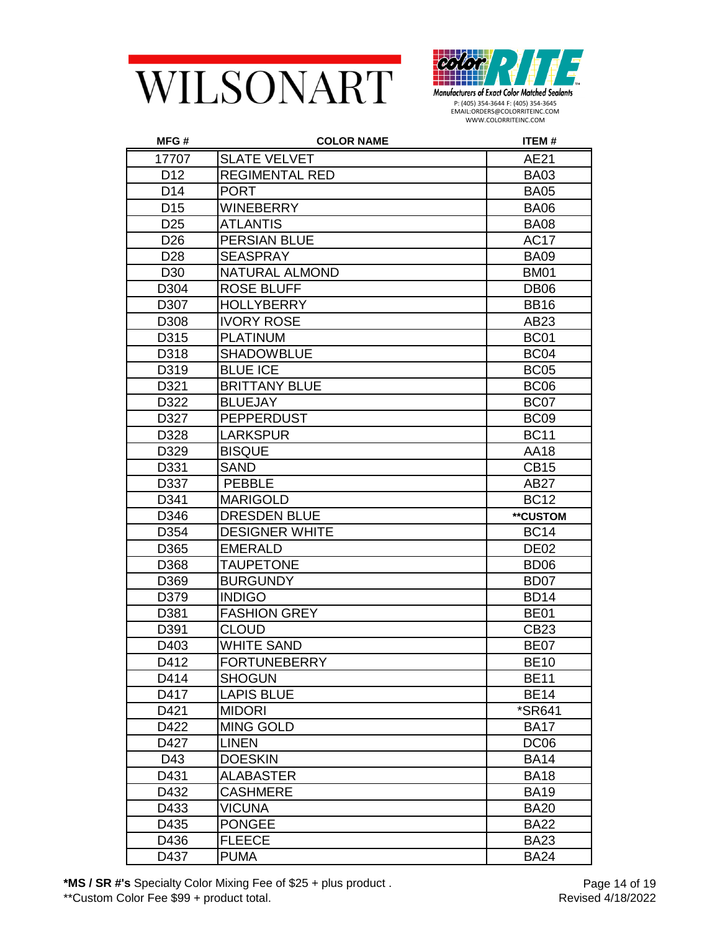



| MFG#            | <b>COLOR NAME</b>     | ITEM#                |
|-----------------|-----------------------|----------------------|
| 17707           | <b>SLATE VELVET</b>   | AE21                 |
| D <sub>12</sub> | <b>REGIMENTAL RED</b> | <b>BA03</b>          |
| D <sub>14</sub> | <b>PORT</b>           | <b>BA05</b>          |
| D <sub>15</sub> | WINEBERRY             | <b>BA06</b>          |
| D <sub>25</sub> | <b>ATLANTIS</b>       | <b>BA08</b>          |
| D <sub>26</sub> | <b>PERSIAN BLUE</b>   | <b>AC17</b>          |
| D <sub>28</sub> | <b>SEASPRAY</b>       | <b>BA09</b>          |
| D <sub>30</sub> | NATURAL ALMOND        | <b>BM01</b>          |
| D304            | <b>ROSE BLUFF</b>     | DB <sub>06</sub>     |
| D307            | <b>HOLLYBERRY</b>     | <b>BB16</b>          |
| D308            | <b>IVORY ROSE</b>     | AB23                 |
| D315            | <b>PLATINUM</b>       | <b>BC01</b>          |
| D318            | <b>SHADOWBLUE</b>     | BC <sub>04</sub>     |
| D319            | <b>BLUE ICE</b>       | <b>BC05</b>          |
| D321            | <b>BRITTANY BLUE</b>  | BC <sub>06</sub>     |
| D322            | <b>BLUEJAY</b>        | BC07                 |
| D327            | <b>PEPPERDUST</b>     | BC <sub>09</sub>     |
| D328            | LARKSPUR              | <b>BC11</b>          |
| D329            | <b>BISQUE</b>         | AA18                 |
| D331            | <b>SAND</b>           | <b>CB15</b>          |
| D337            | <b>PEBBLE</b>         | AB <sub>27</sub>     |
| D341            | <b>MARIGOLD</b>       | <b>BC12</b>          |
| D346            | <b>DRESDEN BLUE</b>   | **CUSTOM             |
| D354            | <b>DESIGNER WHITE</b> | <b>BC14</b>          |
| D365            | <b>EMERALD</b>        | <b>DE02</b>          |
| D368            | <b>TAUPETONE</b>      | BD <sub>06</sub>     |
| D369            | <b>BURGUNDY</b>       | BD <sub>07</sub>     |
| D379            | <b>INDIGO</b>         | <b>BD14</b>          |
| D381            | <b>FASHION GREY</b>   | <b>BE01</b>          |
| D391            | <b>CLOUD</b>          | CB23                 |
| D403            | <b>WHITE SAND</b>     | BE <sub>07</sub>     |
| D412            | FORTUNEBERRY          | <b>BE10</b>          |
| D414            | <b>SHOGUN</b>         | <b>BE11</b>          |
| D417            | <b>LAPIS BLUE</b>     | <b>BE14</b>          |
| D421            | <b>MIDORI</b>         | <i><b>*SR641</b></i> |
| D422            | <b>MING GOLD</b>      | <b>BA17</b>          |
| D427            | <b>LINEN</b>          | DC <sub>06</sub>     |
| D43             | <b>DOESKIN</b>        | <b>BA14</b>          |
| D431            | <b>ALABASTER</b>      | <b>BA18</b>          |
| D432            | <b>CASHMERE</b>       | <b>BA19</b>          |
| D433            | <b>VICUNA</b>         | <b>BA20</b>          |
| D435            | <b>PONGEE</b>         | <b>BA22</b>          |
| D436            | <b>FLEECE</b>         | <b>BA23</b>          |
| D437            | <b>PUMA</b>           | <b>BA24</b>          |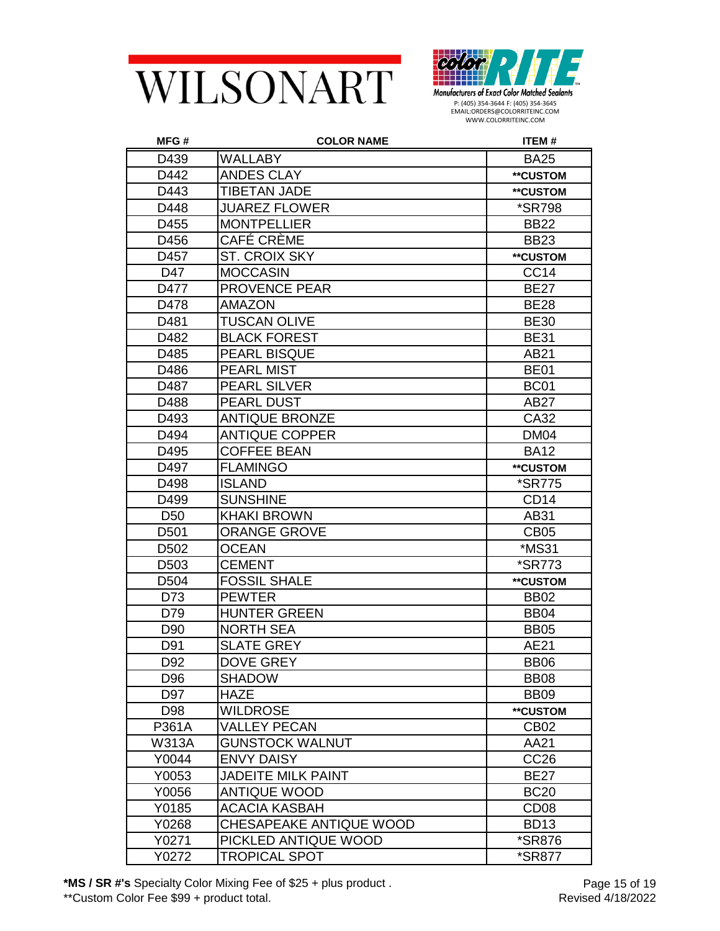



| MFG#             | <b>COLOR NAME</b>         | ITEM#                |
|------------------|---------------------------|----------------------|
| D439             | <b>WALLABY</b>            | <b>BA25</b>          |
| D442             | <b>ANDES CLAY</b>         | **CUSTOM             |
| D443             | <b>TIBETAN JADE</b>       | **CUSTOM             |
| D448             | <b>JUAREZ FLOWER</b>      | <i><b>*SR798</b></i> |
| D455             | <b>MONTPELLIER</b>        | <b>BB22</b>          |
| D456             | CAFÉ CRÈME                | <b>BB23</b>          |
| D457             | <b>ST. CROIX SKY</b>      | **CUSTOM             |
| D47              | <b>MOCCASIN</b>           | CC <sub>14</sub>     |
| D477             | <b>PROVENCE PEAR</b>      | <b>BE27</b>          |
| D478             | <b>AMAZON</b>             | <b>BE28</b>          |
| D481             | <b>TUSCAN OLIVE</b>       | <b>BE30</b>          |
| D482             | <b>BLACK FOREST</b>       | <b>BE31</b>          |
| D485             | PEARL BISQUE              | AB21                 |
| D486             | <b>PEARL MIST</b>         | <b>BE01</b>          |
| D487             | PEARL SILVER              | <b>BC01</b>          |
| D488             | PEARL DUST                | AB27                 |
| D493             | <b>ANTIQUE BRONZE</b>     | CA32                 |
| D494             | <b>ANTIQUE COPPER</b>     | <b>DM04</b>          |
| D495             | <b>COFFEE BEAN</b>        | <b>BA12</b>          |
| D497             | <b>FLAMINGO</b>           | **CUSTOM             |
| D498             | <b>ISLAND</b>             | <i><b>*SR775</b></i> |
| D499             | <b>SUNSHINE</b>           | CD <sub>14</sub>     |
| D <sub>50</sub>  | <b>KHAKI BROWN</b>        | AB31                 |
| D <sub>501</sub> | <b>ORANGE GROVE</b>       | CB <sub>05</sub>     |
| D <sub>502</sub> | <b>OCEAN</b>              | *MS31                |
| D <sub>503</sub> | <b>CEMENT</b>             | <i><b>*SR773</b></i> |
| D <sub>504</sub> | <b>FOSSIL SHALE</b>       | **CUSTOM             |
| D73              | <b>PEWTER</b>             | <b>BB02</b>          |
| D79              | <b>HUNTER GREEN</b>       | BB <sub>04</sub>     |
| D90              | <b>NORTH SEA</b>          | <b>BB05</b>          |
| D91              | <b>SLATE GREY</b>         | AE21                 |
| D92              | <b>DOVE GREY</b>          | BB06                 |
| D96              | <b>SHADOW</b>             | <b>BB08</b>          |
| D97              | <b>HAZE</b>               | <b>BB09</b>          |
| D98              | <b>WILDROSE</b>           | **CUSTOM             |
| P361A            | <b>VALLEY PECAN</b>       | CB <sub>02</sub>     |
| <b>W313A</b>     | <b>GUNSTOCK WALNUT</b>    | AA21                 |
| Y0044            | <b>ENVY DAISY</b>         | CC <sub>26</sub>     |
| Y0053            | <b>JADEITE MILK PAINT</b> | <b>BE27</b>          |
| Y0056            | <b>ANTIQUE WOOD</b>       | <b>BC20</b>          |
| Y0185            | <b>ACACIA KASBAH</b>      | CD <sub>08</sub>     |
| Y0268            | CHESAPEAKE ANTIQUE WOOD   | <b>BD13</b>          |
| Y0271            | PICKLED ANTIQUE WOOD      | *SR876               |
| Y0272            | TROPICAL SPOT             | *SR877               |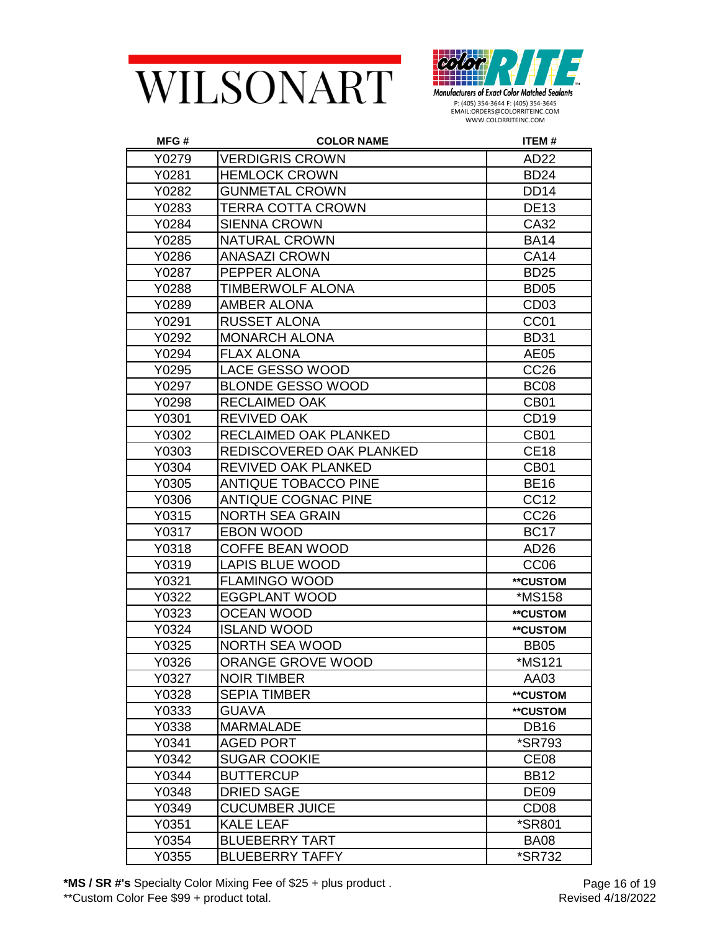



| MFG#  | <b>COLOR NAME</b>           | <b>ITEM#</b>         |
|-------|-----------------------------|----------------------|
| Y0279 | <b>VERDIGRIS CROWN</b>      | AD <sub>22</sub>     |
| Y0281 | <b>HEMLOCK CROWN</b>        | <b>BD24</b>          |
| Y0282 | <b>GUNMETAL CROWN</b>       | <b>DD14</b>          |
| Y0283 | TERRA COTTA CROWN           | <b>DE13</b>          |
| Y0284 | <b>SIENNA CROWN</b>         | CA32                 |
| Y0285 | <b>NATURAL CROWN</b>        | <b>BA14</b>          |
| Y0286 | <b>ANASAZI CROWN</b>        | <b>CA14</b>          |
| Y0287 | PEPPER ALONA                | <b>BD25</b>          |
| Y0288 | TIMBERWOLF ALONA            | BD <sub>05</sub>     |
| Y0289 | <b>AMBER ALONA</b>          | CD <sub>03</sub>     |
| Y0291 | RUSSET ALONA                | CC <sub>01</sub>     |
| Y0292 | <b>MONARCH ALONA</b>        | <b>BD31</b>          |
| Y0294 | <b>FLAX ALONA</b>           | AE05                 |
| Y0295 | LACE GESSO WOOD             | CC <sub>26</sub>     |
| Y0297 | <b>BLONDE GESSO WOOD</b>    | BC <sub>08</sub>     |
| Y0298 | RECLAIMED OAK               | <b>CB01</b>          |
| Y0301 | <b>REVIVED OAK</b>          | CD <sub>19</sub>     |
| Y0302 | RECLAIMED OAK PLANKED       | CB <sub>01</sub>     |
| Y0303 | REDISCOVERED OAK PLANKED    | <b>CE18</b>          |
| Y0304 | REVIVED OAK PLANKED         | <b>CB01</b>          |
| Y0305 | <b>ANTIQUE TOBACCO PINE</b> | <b>BE16</b>          |
| Y0306 | <b>ANTIQUE COGNAC PINE</b>  | CC <sub>12</sub>     |
| Y0315 | <b>NORTH SEA GRAIN</b>      | CC <sub>26</sub>     |
| Y0317 | <b>EBON WOOD</b>            | <b>BC17</b>          |
| Y0318 | <b>COFFE BEAN WOOD</b>      | AD <sub>26</sub>     |
| Y0319 | <b>LAPIS BLUE WOOD</b>      | CC <sub>06</sub>     |
| Y0321 | <b>FLAMINGO WOOD</b>        | **CUSTOM             |
| Y0322 | <b>EGGPLANT WOOD</b>        | <i><b>*MS158</b></i> |
| Y0323 | <b>OCEAN WOOD</b>           | **CUSTOM             |
| Y0324 | <b>ISLAND WOOD</b>          | **CUSTOM             |
| Y0325 | <b>NORTH SEA WOOD</b>       | <b>BB05</b>          |
| Y0326 | ORANGE GROVE WOOD           | <i><b>*MS121</b></i> |
| Y0327 | <b>NOIR TIMBER</b>          | AA03                 |
| Y0328 | <b>SEPIA TIMBER</b>         | **CUSTOM             |
| Y0333 | <b>GUAVA</b>                | **CUSTOM             |
| Y0338 | <b>MARMALADE</b>            | <b>DB16</b>          |
| Y0341 | <b>AGED PORT</b>            | <i><b>*SR793</b></i> |
| Y0342 | <b>SUGAR COOKIE</b>         | CE <sub>08</sub>     |
| Y0344 | <b>BUTTERCUP</b>            | <b>BB12</b>          |
| Y0348 | <b>DRIED SAGE</b>           | <b>DE09</b>          |
| Y0349 | <b>CUCUMBER JUICE</b>       | CD <sub>08</sub>     |
| Y0351 | <b>KALE LEAF</b>            | <i><b>*SR801</b></i> |
| Y0354 | <b>BLUEBERRY TART</b>       | <b>BA08</b>          |
| Y0355 | <b>BLUEBERRY TAFFY</b>      | *SR732               |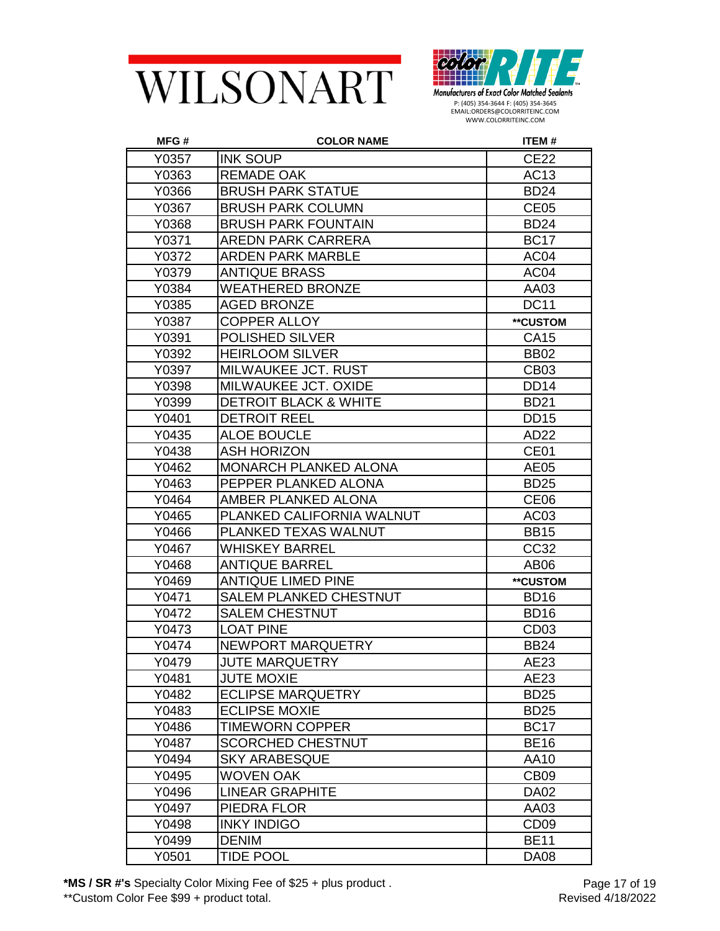



| MFG#  | <b>COLOR NAME</b>                | ITEM#            |
|-------|----------------------------------|------------------|
| Y0357 | <b>INK SOUP</b>                  | <b>CE22</b>      |
| Y0363 | <b>REMADE OAK</b>                | AC13             |
| Y0366 | <b>BRUSH PARK STATUE</b>         | <b>BD24</b>      |
| Y0367 | <b>BRUSH PARK COLUMN</b>         | CE <sub>05</sub> |
| Y0368 | <b>BRUSH PARK FOUNTAIN</b>       | <b>BD24</b>      |
| Y0371 | <b>AREDN PARK CARRERA</b>        | <b>BC17</b>      |
| Y0372 | <b>ARDEN PARK MARBLE</b>         | AC <sub>04</sub> |
| Y0379 | <b>ANTIQUE BRASS</b>             | AC04             |
| Y0384 | <b>WEATHERED BRONZE</b>          | AA03             |
| Y0385 | <b>AGED BRONZE</b>               | <b>DC11</b>      |
| Y0387 | <b>COPPER ALLOY</b>              | **CUSTOM         |
| Y0391 | <b>POLISHED SILVER</b>           | CA15             |
| Y0392 | <b>HEIRLOOM SILVER</b>           | <b>BB02</b>      |
| Y0397 | MILWAUKEE JCT. RUST              | <b>CB03</b>      |
| Y0398 | MILWAUKEE JCT. OXIDE             | DD <sub>14</sub> |
| Y0399 | <b>DETROIT BLACK &amp; WHITE</b> | <b>BD21</b>      |
| Y0401 | <b>DETROIT REEL</b>              | <b>DD15</b>      |
| Y0435 | <b>ALOE BOUCLE</b>               | AD22             |
| Y0438 | <b>ASH HORIZON</b>               | CE <sub>01</sub> |
| Y0462 | <b>MONARCH PLANKED ALONA</b>     | AE05             |
| Y0463 | PEPPER PLANKED ALONA             | <b>BD25</b>      |
| Y0464 | AMBER PLANKED ALONA              | CE <sub>06</sub> |
| Y0465 | PLANKED CALIFORNIA WALNUT        | AC <sub>03</sub> |
| Y0466 | PLANKED TEXAS WALNUT             | <b>BB15</b>      |
| Y0467 | <b>WHISKEY BARREL</b>            | CC32             |
| Y0468 | <b>ANTIQUE BARREL</b>            | AB06             |
| Y0469 | <b>ANTIQUE LIMED PINE</b>        | **CUSTOM         |
| Y0471 | SALEM PLANKED CHESTNUT           | <b>BD16</b>      |
| Y0472 | <b>SALEM CHESTNUT</b>            | <b>BD16</b>      |
| Y0473 | <b>LOAT PINE</b>                 | CD <sub>03</sub> |
| Y0474 | <b>NEWPORT MARQUETRY</b>         | <b>BB24</b>      |
| Y0479 | <b>JUTE MARQUETRY</b>            | AE23             |
| Y0481 | <b>JUTE MOXIE</b>                | AE23             |
| Y0482 | <b>ECLIPSE MARQUETRY</b>         | <b>BD25</b>      |
| Y0483 | <b>ECLIPSE MOXIE</b>             | <b>BD25</b>      |
| Y0486 | <b>TIMEWORN COPPER</b>           | <b>BC17</b>      |
| Y0487 | <b>SCORCHED CHESTNUT</b>         | <b>BE16</b>      |
| Y0494 | <b>SKY ARABESQUE</b>             | AA10             |
| Y0495 | WOVEN OAK                        | CB <sub>09</sub> |
| Y0496 | <b>LINEAR GRAPHITE</b>           | <b>DA02</b>      |
| Y0497 | PIEDRA FLOR                      | AA03             |
| Y0498 | <b>INKY INDIGO</b>               | CD <sub>09</sub> |
| Y0499 | <b>DENIM</b>                     | <b>BE11</b>      |
| Y0501 | <b>TIDE POOL</b>                 | <b>DA08</b>      |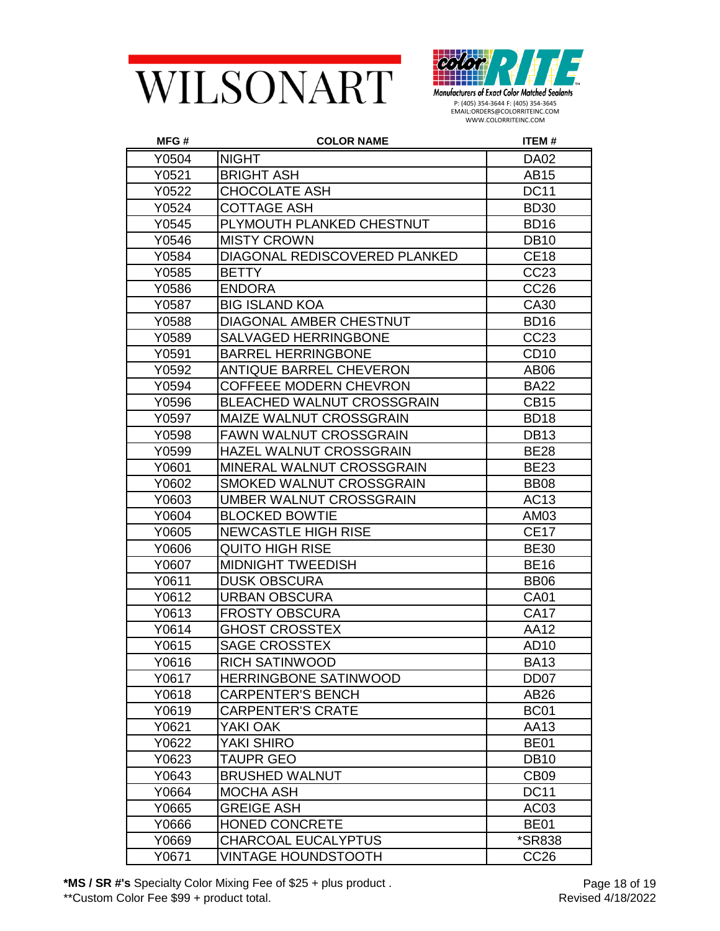



| MFG#  | <b>COLOR NAME</b>                 | ITEM#            |
|-------|-----------------------------------|------------------|
| Y0504 | <b>NIGHT</b>                      | <b>DA02</b>      |
| Y0521 | <b>BRIGHT ASH</b>                 | AB15             |
| Y0522 | <b>CHOCOLATE ASH</b>              | <b>DC11</b>      |
| Y0524 | <b>COTTAGE ASH</b>                | <b>BD30</b>      |
| Y0545 | PLYMOUTH PLANKED CHESTNUT         | <b>BD16</b>      |
| Y0546 | <b>MISTY CROWN</b>                | <b>DB10</b>      |
| Y0584 | DIAGONAL REDISCOVERED PLANKED     | <b>CE18</b>      |
| Y0585 | <b>BETTY</b>                      | CC23             |
| Y0586 | <b>ENDORA</b>                     | CC <sub>26</sub> |
| Y0587 | <b>BIG ISLAND KOA</b>             | CA30             |
| Y0588 | DIAGONAL AMBER CHESTNUT           | <b>BD16</b>      |
| Y0589 | <b>SALVAGED HERRINGBONE</b>       | CC23             |
| Y0591 | <b>BARREL HERRINGBONE</b>         | <b>CD10</b>      |
| Y0592 | <b>ANTIQUE BARREL CHEVERON</b>    | AB06             |
| Y0594 | <b>COFFEEE MODERN CHEVRON</b>     | <b>BA22</b>      |
| Y0596 | <b>BLEACHED WALNUT CROSSGRAIN</b> | <b>CB15</b>      |
| Y0597 | MAIZE WALNUT CROSSGRAIN           | <b>BD18</b>      |
| Y0598 | <b>FAWN WALNUT CROSSGRAIN</b>     | <b>DB13</b>      |
| Y0599 | HAZEL WALNUT CROSSGRAIN           | <b>BE28</b>      |
| Y0601 | MINERAL WALNUT CROSSGRAIN         | <b>BE23</b>      |
| Y0602 | SMOKED WALNUT CROSSGRAIN          | <b>BB08</b>      |
| Y0603 | UMBER WALNUT CROSSGRAIN           | AC13             |
| Y0604 | <b>BLOCKED BOWTIE</b>             | AM03             |
| Y0605 | <b>NEWCASTLE HIGH RISE</b>        | <b>CE17</b>      |
| Y0606 | QUITO HIGH RISE                   | <b>BE30</b>      |
| Y0607 | <b>MIDNIGHT TWEEDISH</b>          | <b>BE16</b>      |
| Y0611 | <b>DUSK OBSCURA</b>               | <b>BB06</b>      |
| Y0612 | URBAN OBSCURA                     | <b>CA01</b>      |
| Y0613 | <b>FROSTY OBSCURA</b>             | <b>CA17</b>      |
| Y0614 | <b>GHOST CROSSTEX</b>             | <b>AA12</b>      |
| Y0615 | <b>SAGE CROSSTEX</b>              | AD10             |
| Y0616 | RICH SATINWOOD                    | <b>BA13</b>      |
| Y0617 | HERRINGBONE SATINWOOD             | DD <sub>07</sub> |
| Y0618 | <b>CARPENTER'S BENCH</b>          | AB26             |
| Y0619 | <b>CARPENTER'S CRATE</b>          | <b>BC01</b>      |
| Y0621 | YAKI OAK                          | AA13             |
| Y0622 | YAKI SHIRO                        | <b>BE01</b>      |
| Y0623 | <b>TAUPR GEO</b>                  | <b>DB10</b>      |
| Y0643 | <b>BRUSHED WALNUT</b>             | CB <sub>09</sub> |
| Y0664 | MOCHA ASH                         | <b>DC11</b>      |
| Y0665 | <b>GREIGE ASH</b>                 | AC <sub>03</sub> |
| Y0666 | <b>HONED CONCRETE</b>             | <b>BE01</b>      |
| Y0669 | <b>CHARCOAL EUCALYPTUS</b>        | *SR838           |
| Y0671 | <b>VINTAGE HOUNDSTOOTH</b>        | CC <sub>26</sub> |